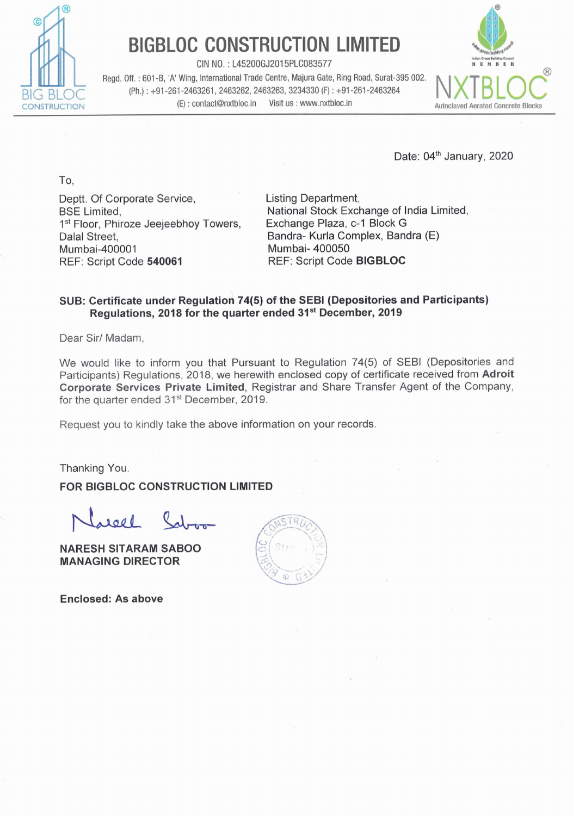

## **BIGBLOC CONSTRUCTION LIMITED**

CIN **NO.** : L45200GJ2015PLC083577

Regd. Off. : 601-B, 'A' Wing, International Trade Centre, Majura Gate, Ring Road, Surat-395 002. (Ph.) : **+91-261-2463261,2463262,2463263,3234330** (F) : +91-261-2463264 (E) : contact@nxtbloc.in Visit us : www.nxtbloc.in **Autoclaved Aerated Concrete Blocks** 



Date: 04<sup>th</sup> January, 2020

To.

Deptt. Of Corporate Service, BSE Limited, 1st Floor, Phiroze Jeejeebhoy Towers, Dalal Street, Mumbai-400001 REF: Script Code **540061** 

Listing Department, National Stock Exchange of India Limited, Exchange Plaza, c-I Block G Bandra- Kurla Complex, Bandra (E) Mumbai- 400050 REF: Script Code **BIGBLOC** 

## **SUB: Certificate under Regulation 74(5) of the SEBl (Depositories and Participants) Regulations, 2018 for the quarter ended 3Ist December, 2019**

Dear Sir/ Madam,

We would like to inform you that Pursuant to Regulation 74(5) of SEBl (Depositories and Participants) Regulations, 2018, we herewith enclosed copy of certificate received from Adroit **Corporate Services Private Limited,** Registrar and Share Transfer Agent of the Company, for the quarter ended 31<sup>st</sup> December, 2019.

Request you to kindly take the above information on your records.

Thanking You.

## **FOR BIGBLOC CONSTRUCTION LIMITED**

 $1000$ 

**NARESH SITARAM SABOO MANAGING DIRECTOR** 



**Enclosed: As above**